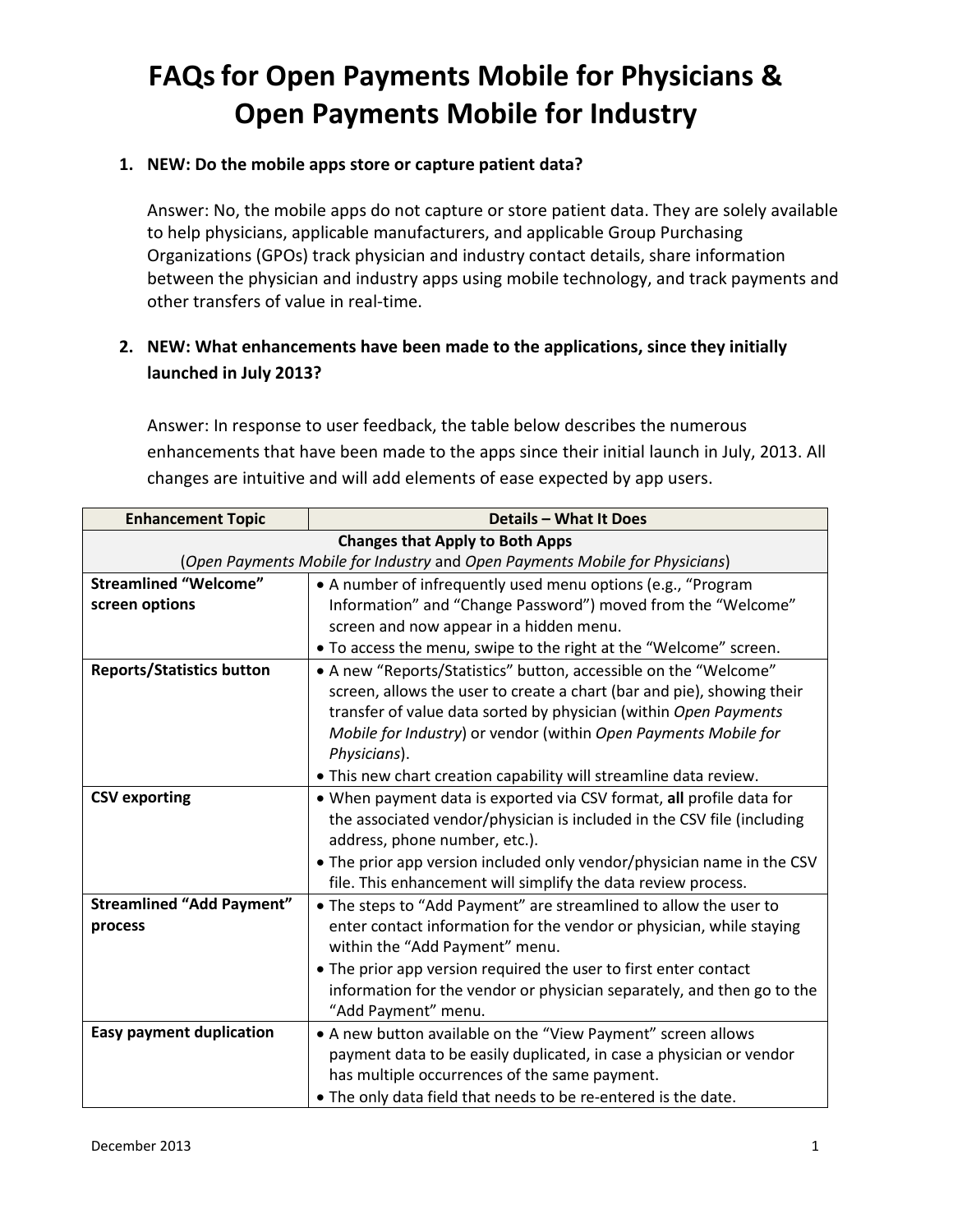### **1. NEW: Do the mobile apps store or capture patient data?**

Answer: No, the mobile apps do not capture or store patient data. They are solely available to help physicians, applicable manufacturers, and applicable Group Purchasing Organizations (GPOs) track physician and industry contact details, share information between the physician and industry apps using mobile technology, and track payments and other transfers of value in real-time.

## **2. NEW: What enhancements have been made to the applications, since they initially launched in July 2013?**

Answer: In response to user feedback, the table below describes the numerous enhancements that have been made to the apps since their initial launch in July, 2013. All changes are intuitive and will add elements of ease expected by app users.

| <b>Enhancement Topic</b>                                                    | <b>Details - What It Does</b>                                          |
|-----------------------------------------------------------------------------|------------------------------------------------------------------------|
| <b>Changes that Apply to Both Apps</b>                                      |                                                                        |
| (Open Payments Mobile for Industry and Open Payments Mobile for Physicians) |                                                                        |
| <b>Streamlined "Welcome"</b>                                                | • A number of infrequently used menu options (e.g., "Program           |
| screen options                                                              | Information" and "Change Password") moved from the "Welcome"           |
|                                                                             | screen and now appear in a hidden menu.                                |
|                                                                             | . To access the menu, swipe to the right at the "Welcome" screen.      |
| <b>Reports/Statistics button</b>                                            | • A new "Reports/Statistics" button, accessible on the "Welcome"       |
|                                                                             | screen, allows the user to create a chart (bar and pie), showing their |
|                                                                             | transfer of value data sorted by physician (within Open Payments       |
|                                                                             | Mobile for Industry) or vendor (within Open Payments Mobile for        |
|                                                                             | Physicians).                                                           |
|                                                                             | . This new chart creation capability will streamline data review.      |
| <b>CSV exporting</b>                                                        | • When payment data is exported via CSV format, all profile data for   |
|                                                                             | the associated vendor/physician is included in the CSV file (including |
|                                                                             | address, phone number, etc.).                                          |
|                                                                             | • The prior app version included only vendor/physician name in the CSV |
|                                                                             | file. This enhancement will simplify the data review process.          |
| <b>Streamlined "Add Payment"</b>                                            | • The steps to "Add Payment" are streamlined to allow the user to      |
| process                                                                     | enter contact information for the vendor or physician, while staying   |
|                                                                             | within the "Add Payment" menu.                                         |
|                                                                             | • The prior app version required the user to first enter contact       |
|                                                                             | information for the vendor or physician separately, and then go to the |
|                                                                             | "Add Payment" menu.                                                    |
| <b>Easy payment duplication</b>                                             | • A new button available on the "View Payment" screen allows           |
|                                                                             | payment data to be easily duplicated, in case a physician or vendor    |
|                                                                             | has multiple occurrences of the same payment.                          |
|                                                                             | . The only data field that needs to be re-entered is the date.         |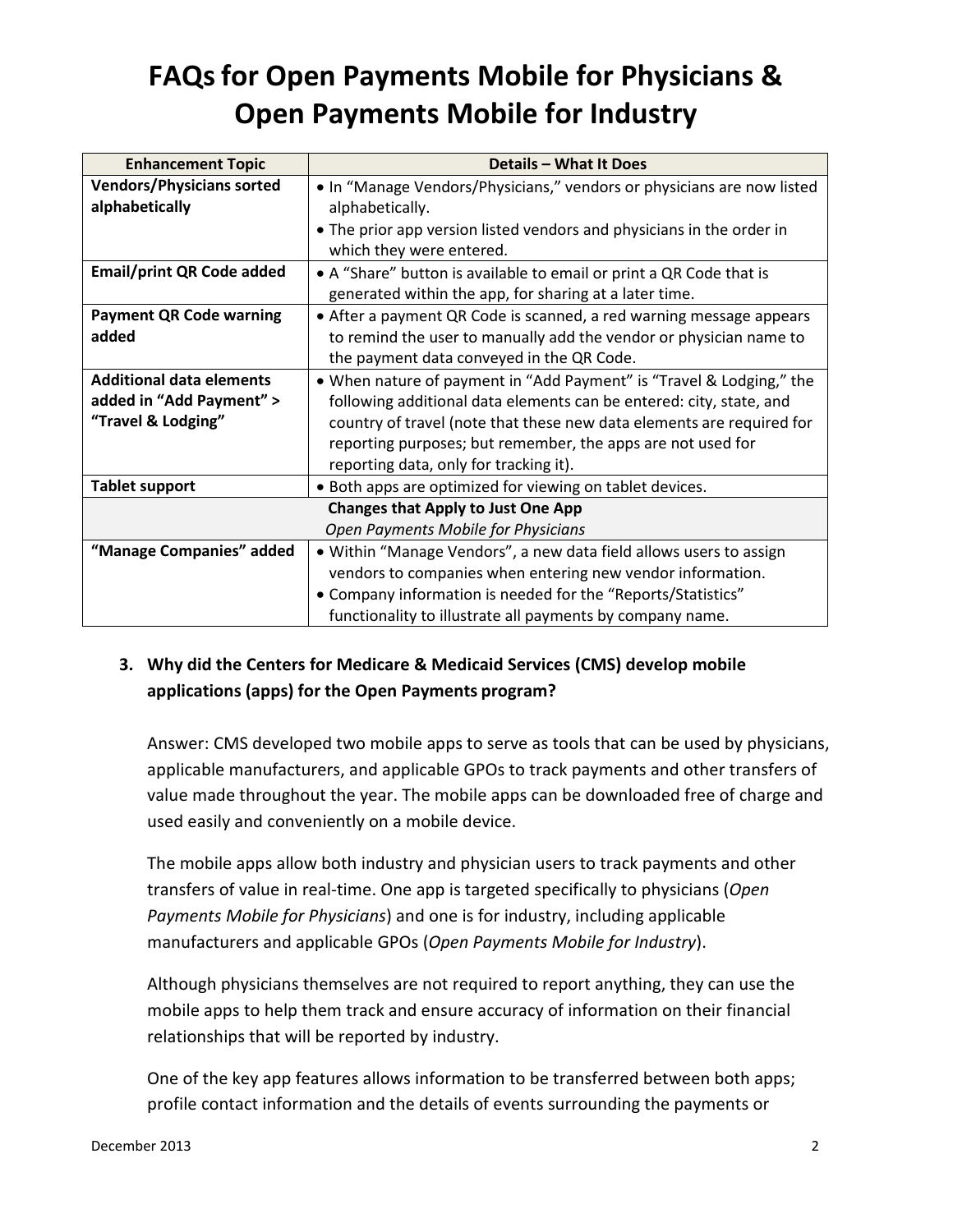| <b>Enhancement Topic</b>                  | <b>Details - What It Does</b>                                          |
|-------------------------------------------|------------------------------------------------------------------------|
| <b>Vendors/Physicians sorted</b>          | • In "Manage Vendors/Physicians," vendors or physicians are now listed |
| alphabetically                            | alphabetically.                                                        |
|                                           | • The prior app version listed vendors and physicians in the order in  |
|                                           | which they were entered.                                               |
| <b>Email/print QR Code added</b>          | • A "Share" button is available to email or print a QR Code that is    |
|                                           | generated within the app, for sharing at a later time.                 |
| <b>Payment QR Code warning</b>            | • After a payment QR Code is scanned, a red warning message appears    |
| added                                     | to remind the user to manually add the vendor or physician name to     |
|                                           | the payment data conveyed in the QR Code.                              |
| <b>Additional data elements</b>           | • When nature of payment in "Add Payment" is "Travel & Lodging," the   |
| added in "Add Payment" >                  | following additional data elements can be entered: city, state, and    |
| "Travel & Lodging"                        | country of travel (note that these new data elements are required for  |
|                                           | reporting purposes; but remember, the apps are not used for            |
|                                           | reporting data, only for tracking it).                                 |
| <b>Tablet support</b>                     | • Both apps are optimized for viewing on tablet devices.               |
| <b>Changes that Apply to Just One App</b> |                                                                        |
| Open Payments Mobile for Physicians       |                                                                        |
| "Manage Companies" added                  | . Within "Manage Vendors", a new data field allows users to assign     |
|                                           | vendors to companies when entering new vendor information.             |
|                                           | • Company information is needed for the "Reports/Statistics"           |
|                                           | functionality to illustrate all payments by company name.              |

## **3. Why did the Centers for Medicare & Medicaid Services (CMS) develop mobile applications (apps) for the Open Payments program?**

Answer: CMS developed two mobile apps to serve as tools that can be used by physicians, applicable manufacturers, and applicable GPOs to track payments and other transfers of value made throughout the year. The mobile apps can be downloaded free of charge and used easily and conveniently on a mobile device.

The mobile apps allow both industry and physician users to track payments and other transfers of value in real-time. One app is targeted specifically to physicians (*Open Payments Mobile for Physicians*) and one is for industry, including applicable manufacturers and applicable GPOs (*Open Payments Mobile for Industry*).

Although physicians themselves are not required to report anything, they can use the mobile apps to help them track and ensure accuracy of information on their financial relationships that will be reported by industry.

One of the key app features allows information to be transferred between both apps; profile contact information and the details of events surrounding the payments or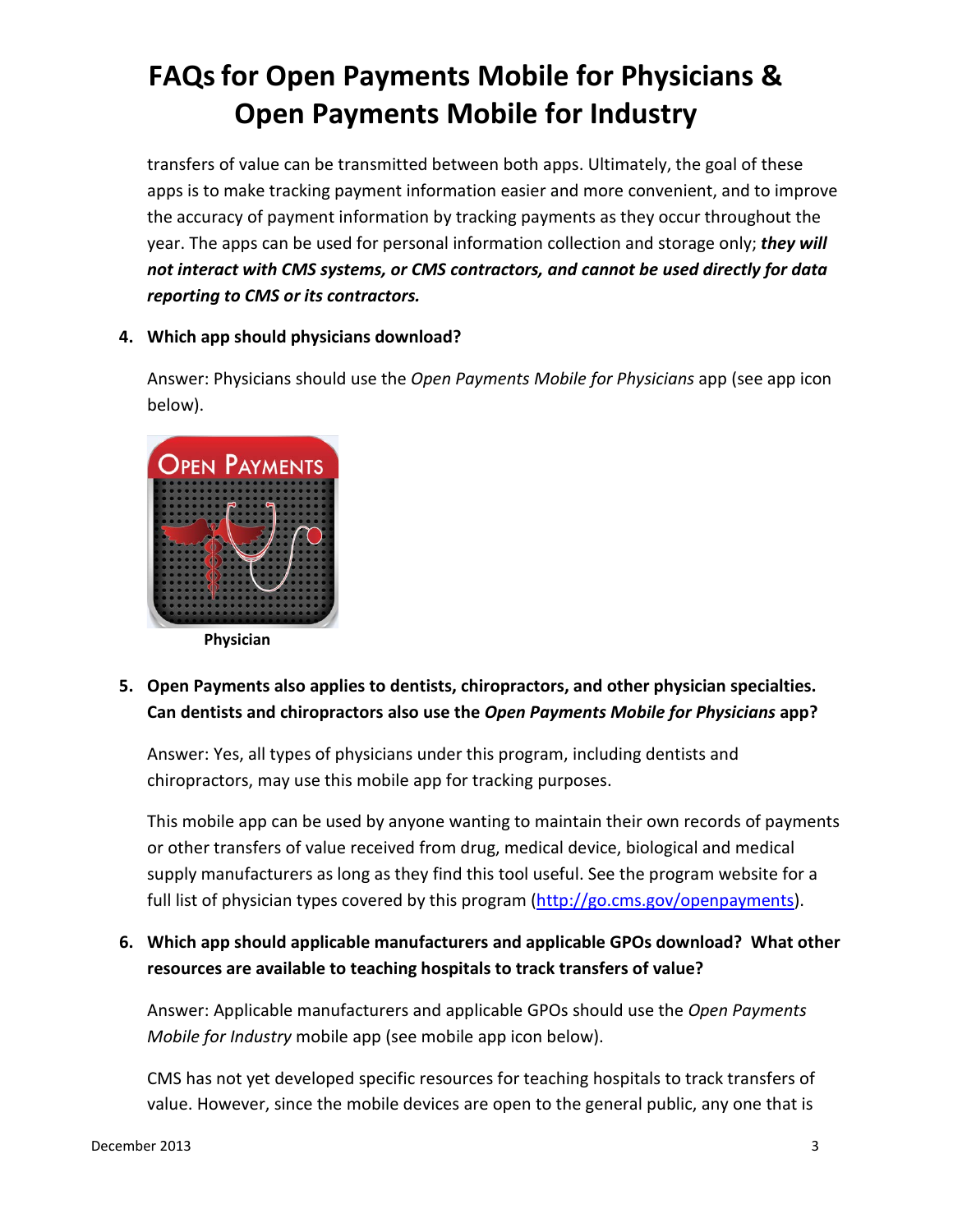transfers of value can be transmitted between both apps. Ultimately, the goal of these apps is to make tracking payment information easier and more convenient, and to improve the accuracy of payment information by tracking payments as they occur throughout the year. The apps can be used for personal information collection and storage only; *they will not interact with CMS systems, or CMS contractors, and cannot be used directly for data reporting to CMS or its contractors.*

### **4. Which app should physicians download?**

Answer: Physicians should use the *Open Payments Mobile for Physicians* app (see app icon below).



**5. Open Payments also applies to dentists, chiropractors, and other physician specialties. Can dentists and chiropractors also use the** *Open Payments Mobile for Physicians* **app?**

Answer: Yes, all types of physicians under this program, including dentists and chiropractors, may use this mobile app for tracking purposes.

This mobile app can be used by anyone wanting to maintain their own records of payments or other transfers of value received from drug, medical device, biological and medical supply manufacturers as long as they find this tool useful. See the program website for a full list of physician types covered by this program [\(http://go.cms.gov/openpayments\)](http://go.cms.gov/openpayments).

## **6. Which app should applicable manufacturers and applicable GPOs download? What other resources are available to teaching hospitals to track transfers of value?**

Answer: Applicable manufacturers and applicable GPOs should use the *Open Payments Mobile for Industry* mobile app (see mobile app icon below).

CMS has not yet developed specific resources for teaching hospitals to track transfers of value. However, since the mobile devices are open to the general public, any one that is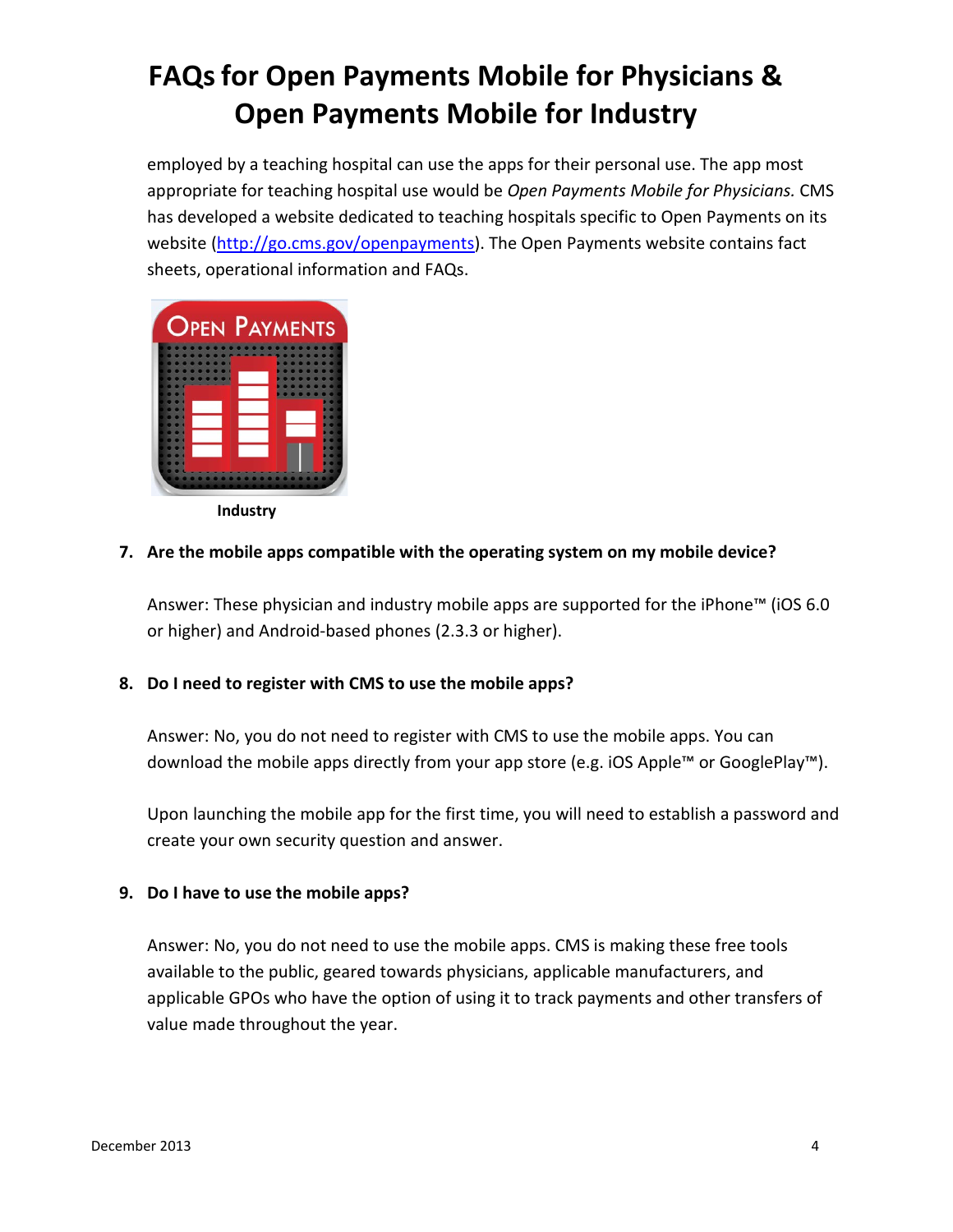employed by a teaching hospital can use the apps for their personal use. The app most appropriate for teaching hospital use would be *Open Payments Mobile for Physicians.* CMS has developed a website dedicated to teaching hospitals specific to Open Payments on its website [\(http://go.cms.gov/openpayments\)](http://go.cms.gov/openpayments). The Open Payments website contains fact sheets, operational information and FAQs.



**Industry**

### **7. Are the mobile apps compatible with the operating system on my mobile device?**

Answer: These physician and industry mobile apps are supported for the iPhone™ (iOS 6.0 or higher) and Android-based phones (2.3.3 or higher).

### **8. Do I need to register with CMS to use the mobile apps?**

Answer: No, you do not need to register with CMS to use the mobile apps. You can download the mobile apps directly from your app store (e.g. iOS Apple™ or GooglePlay™).

Upon launching the mobile app for the first time, you will need to establish a password and create your own security question and answer.

### **9. Do I have to use the mobile apps?**

Answer: No, you do not need to use the mobile apps. CMS is making these free tools available to the public, geared towards physicians, applicable manufacturers, and applicable GPOs who have the option of using it to track payments and other transfers of value made throughout the year.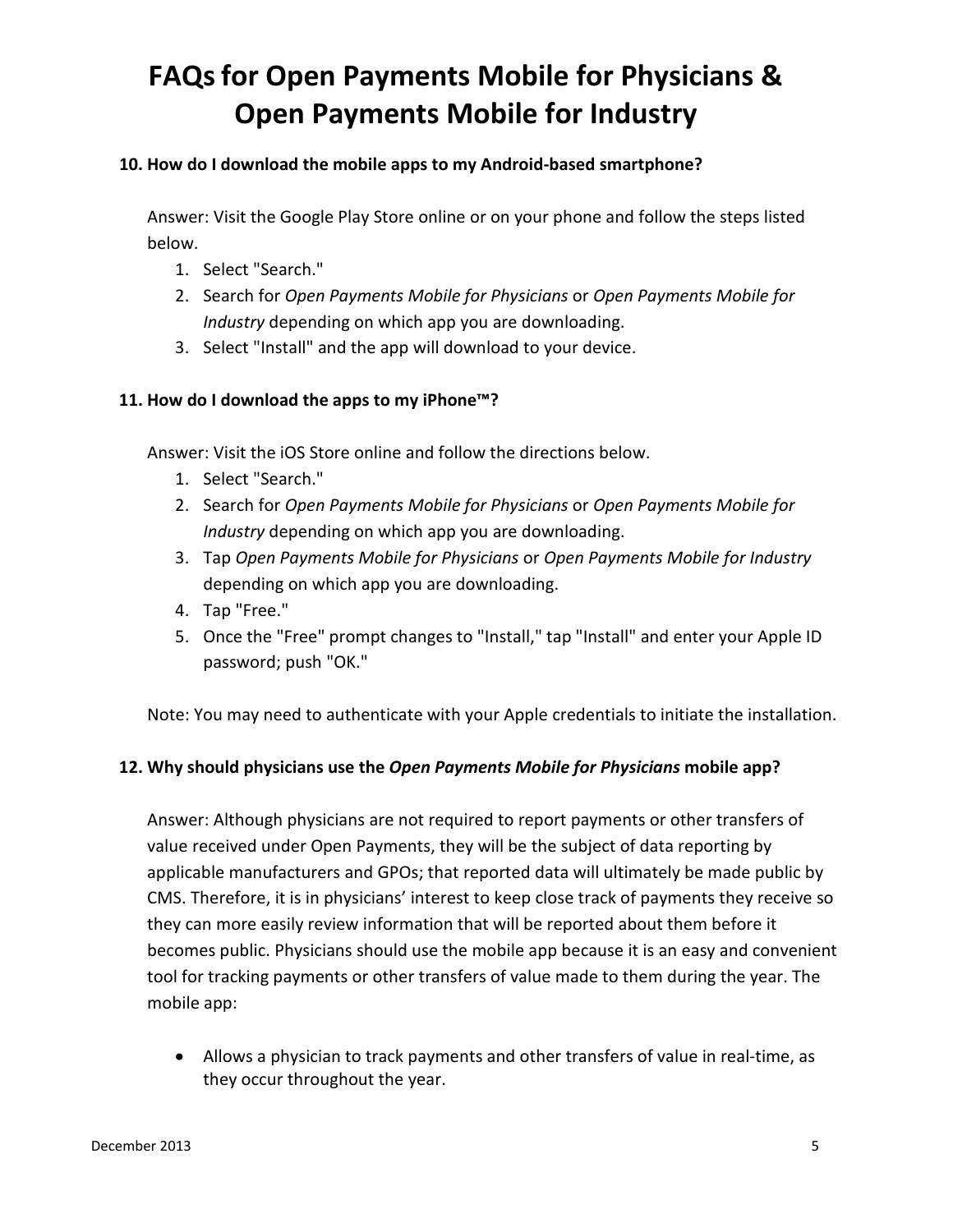#### **10. How do I download the mobile apps to my Android-based smartphone?**

Answer: Visit the Google Play Store online or on your phone and follow the steps listed below.

- 1. Select "Search."
- 2. Search for *Open Payments Mobile for Physicians* or *Open Payments Mobile for Industry* depending on which app you are downloading.
- 3. Select "Install" and the app will download to your device.

#### **11. How do I download the apps to my iPhone™?**

Answer: Visit the iOS Store online and follow the directions below.

- 1. Select "Search."
- 2. Search for *Open Payments Mobile for Physicians* or *Open Payments Mobile for Industry* depending on which app you are downloading.
- 3. Tap *Open Payments Mobile for Physicians* or *Open Payments Mobile for Industry* depending on which app you are downloading.
- 4. Tap "Free."
- 5. Once the "Free" prompt changes to "Install," tap "Install" and enter your Apple ID password; push "OK."

Note: You may need to authenticate with your Apple credentials to initiate the installation.

#### **12. Why should physicians use the** *Open Payments Mobile for Physicians* **mobile app?**

Answer: Although physicians are not required to report payments or other transfers of value received under Open Payments, they will be the subject of data reporting by applicable manufacturers and GPOs; that reported data will ultimately be made public by CMS. Therefore, it is in physicians' interest to keep close track of payments they receive so they can more easily review information that will be reported about them before it becomes public. Physicians should use the mobile app because it is an easy and convenient tool for tracking payments or other transfers of value made to them during the year. The mobile app:

• Allows a physician to track payments and other transfers of value in real-time, as they occur throughout the year.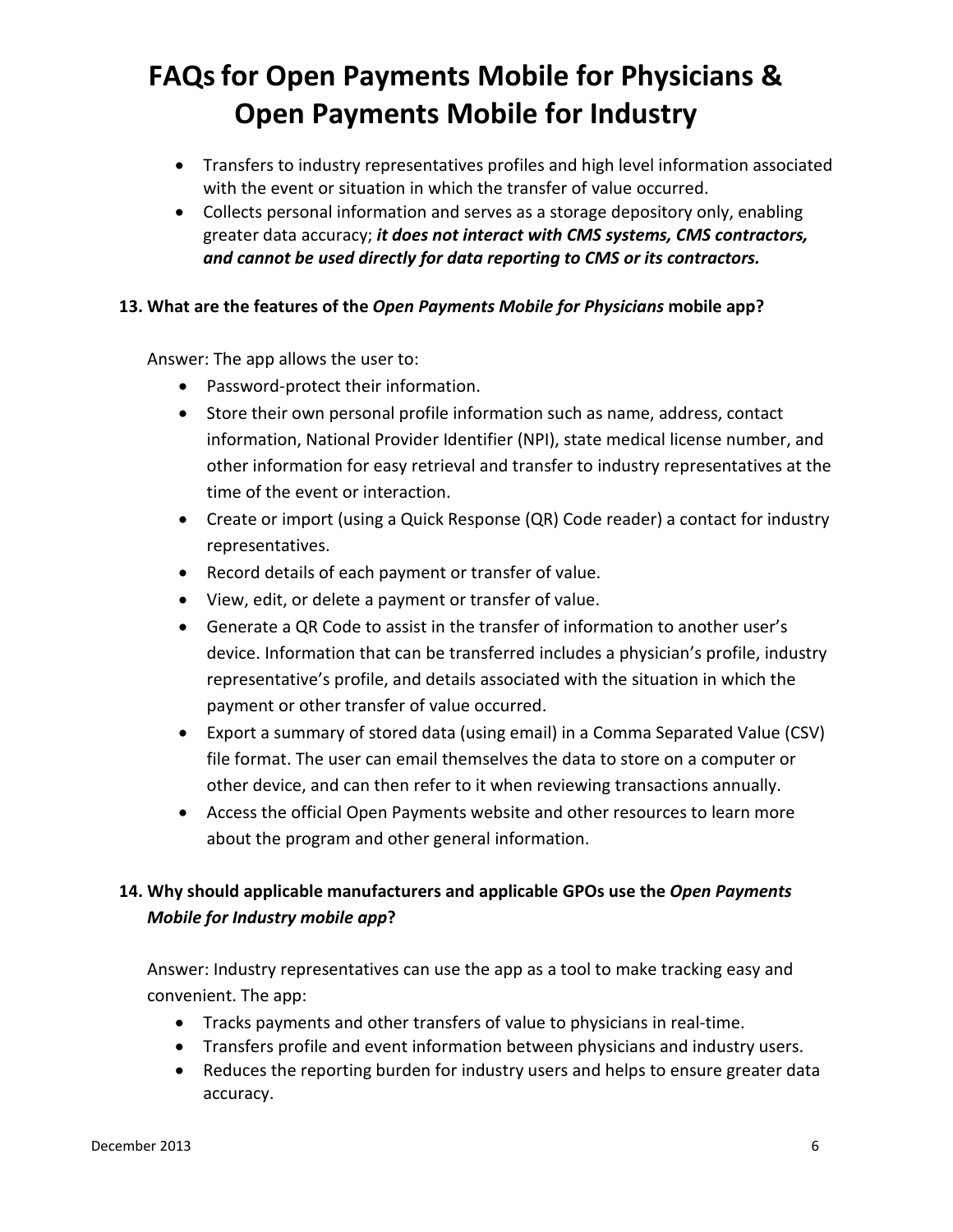- Transfers to industry representatives profiles and high level information associated with the event or situation in which the transfer of value occurred.
- Collects personal information and serves as a storage depository only, enabling greater data accuracy; *it does not interact with CMS systems, CMS contractors, and cannot be used directly for data reporting to CMS or its contractors.*

### **13. What are the features of the** *Open Payments Mobile for Physicians* **mobile app?**

Answer: The app allows the user to:

- Password-protect their information.
- Store their own personal profile information such as name, address, contact information, National Provider Identifier (NPI), state medical license number, and other information for easy retrieval and transfer to industry representatives at the time of the event or interaction.
- Create or import (using a Quick Response (QR) Code reader) a contact for industry representatives.
- Record details of each payment or transfer of value.
- View, edit, or delete a payment or transfer of value.
- Generate a QR Code to assist in the transfer of information to another user's device. Information that can be transferred includes a physician's profile, industry representative's profile, and details associated with the situation in which the payment or other transfer of value occurred.
- Export a summary of stored data (using email) in a Comma Separated Value (CSV) file format. The user can email themselves the data to store on a computer or other device, and can then refer to it when reviewing transactions annually.
- Access the official Open Payments website and other resources to learn more about the program and other general information.

## **14. Why should applicable manufacturers and applicable GPOs use the** *Open Payments Mobile for Industry mobile app***?**

Answer: Industry representatives can use the app as a tool to make tracking easy and convenient. The app:

- Tracks payments and other transfers of value to physicians in real-time.
- Transfers profile and event information between physicians and industry users.
- Reduces the reporting burden for industry users and helps to ensure greater data accuracy.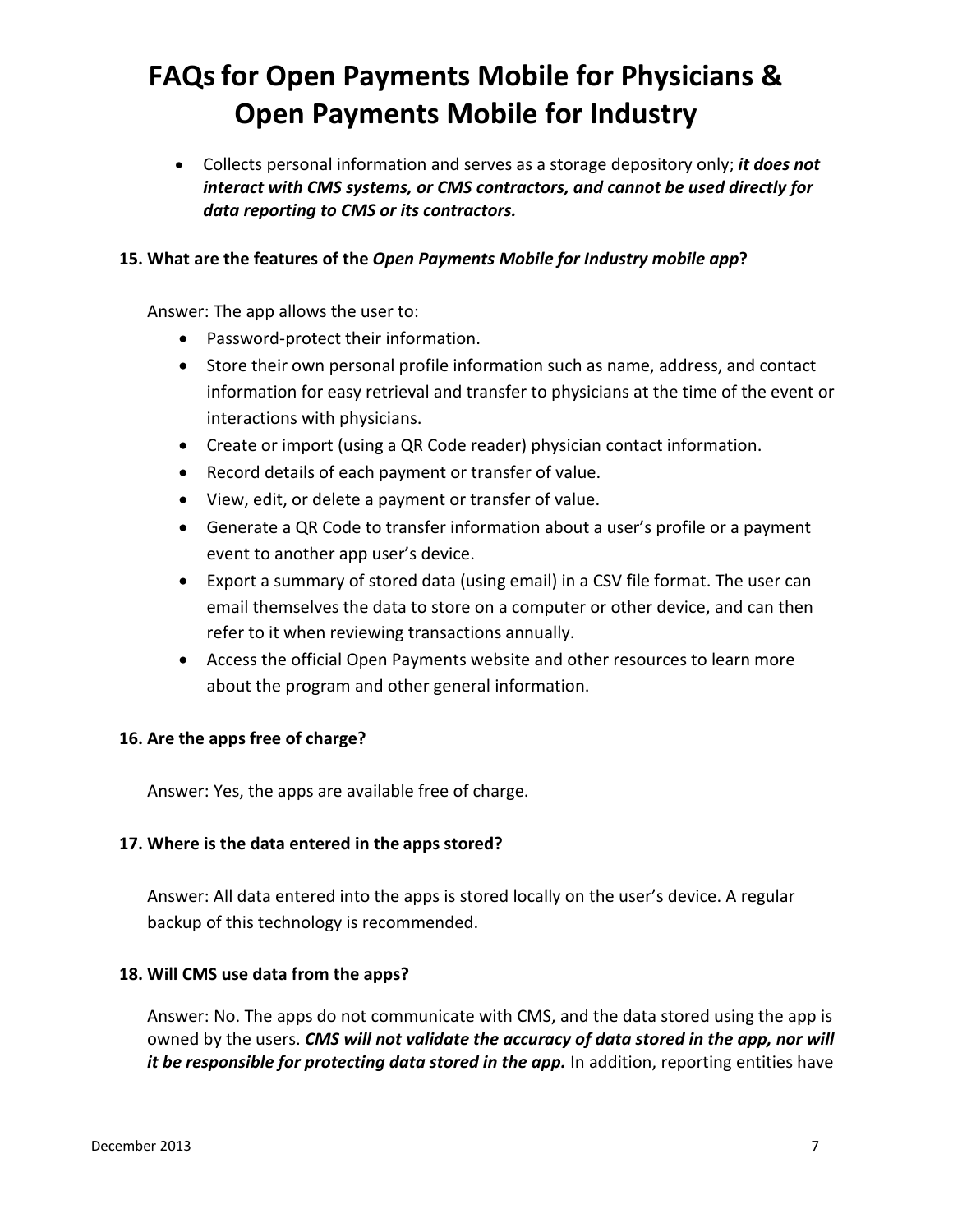• Collects personal information and serves as a storage depository only; *it does not interact with CMS systems, or CMS contractors, and cannot be used directly for data reporting to CMS or its contractors.* 

#### **15. What are the features of the** *Open Payments Mobile for Industry mobile app***?**

Answer: The app allows the user to:

- Password-protect their information.
- Store their own personal profile information such as name, address, and contact information for easy retrieval and transfer to physicians at the time of the event or interactions with physicians.
- Create or import (using a QR Code reader) physician contact information.
- Record details of each payment or transfer of value.
- View, edit, or delete a payment or transfer of value.
- Generate a QR Code to transfer information about a user's profile or a payment event to another app user's device.
- Export a summary of stored data (using email) in a CSV file format. The user can email themselves the data to store on a computer or other device, and can then refer to it when reviewing transactions annually.
- Access the official Open Payments website and other resources to learn more about the program and other general information.

#### **16. Are the apps free of charge?**

Answer: Yes, the apps are available free of charge.

#### **17. Where is the data entered in the apps stored?**

Answer: All data entered into the apps is stored locally on the user's device. A regular backup of this technology is recommended.

#### **18. Will CMS use data from the apps?**

Answer: No. The apps do not communicate with CMS, and the data stored using the app is owned by the users. *CMS will not validate the accuracy of data stored in the app, nor will it be responsible for protecting data stored in the app.* In addition, reporting entities have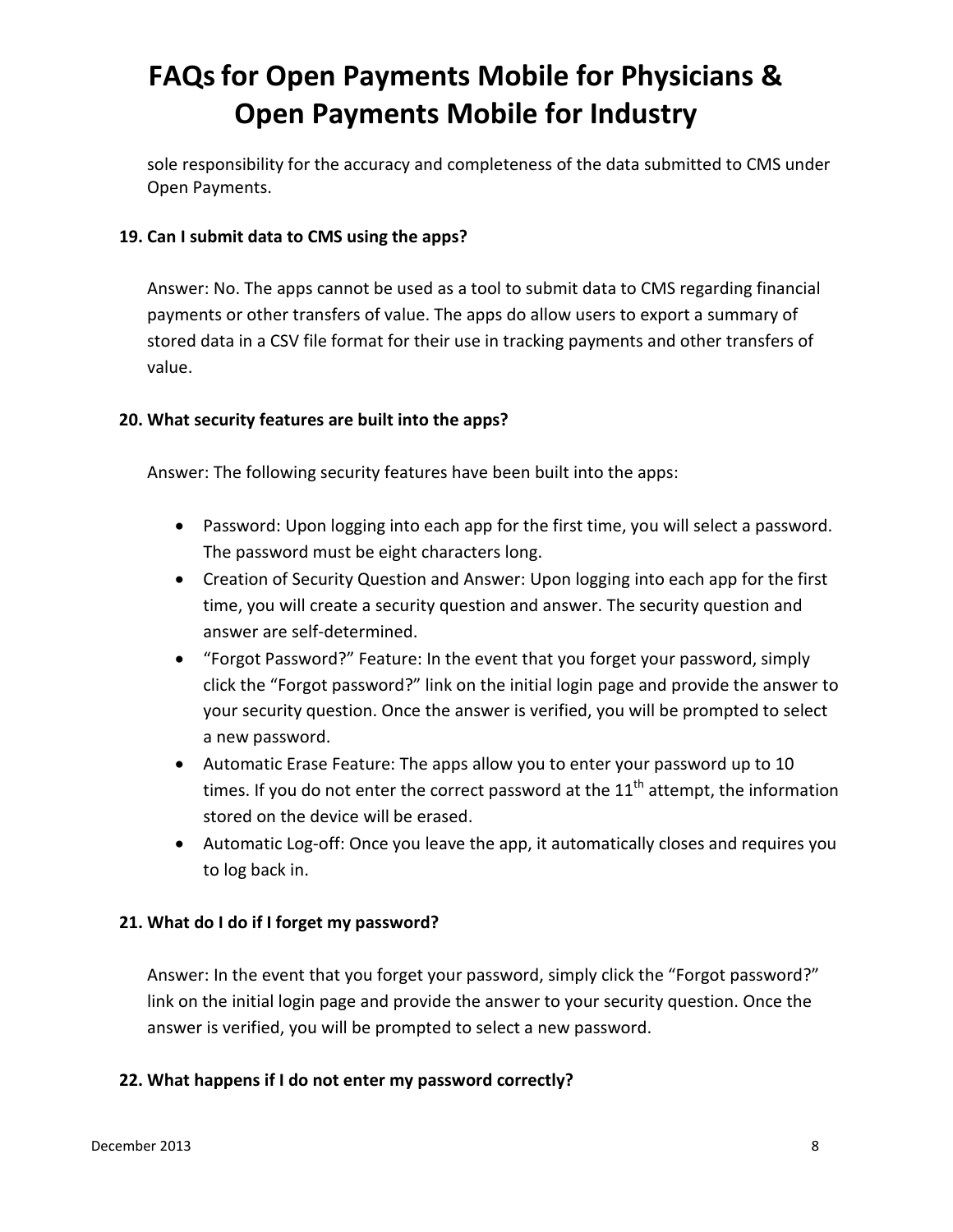sole responsibility for the accuracy and completeness of the data submitted to CMS under Open Payments.

### **19. Can I submit data to CMS using the apps?**

Answer: No. The apps cannot be used as a tool to submit data to CMS regarding financial payments or other transfers of value. The apps do allow users to export a summary of stored data in a CSV file format for their use in tracking payments and other transfers of value.

### **20. What security features are built into the apps?**

Answer: The following security features have been built into the apps:

- Password: Upon logging into each app for the first time, you will select a password. The password must be eight characters long.
- Creation of Security Question and Answer: Upon logging into each app for the first time, you will create a security question and answer. The security question and answer are self-determined.
- "Forgot Password?" Feature: In the event that you forget your password, simply click the "Forgot password?" link on the initial login page and provide the answer to your security question. Once the answer is verified, you will be prompted to select a new password.
- Automatic Erase Feature: The apps allow you to enter your password up to 10 times. If you do not enter the correct password at the  $11<sup>th</sup>$  attempt, the information stored on the device will be erased.
- Automatic Log-off: Once you leave the app, it automatically closes and requires you to log back in.

### **21. What do I do if I forget my password?**

Answer: In the event that you forget your password, simply click the "Forgot password?" link on the initial login page and provide the answer to your security question. Once the answer is verified, you will be prompted to select a new password.

### **22. What happens if I do not enter my password correctly?**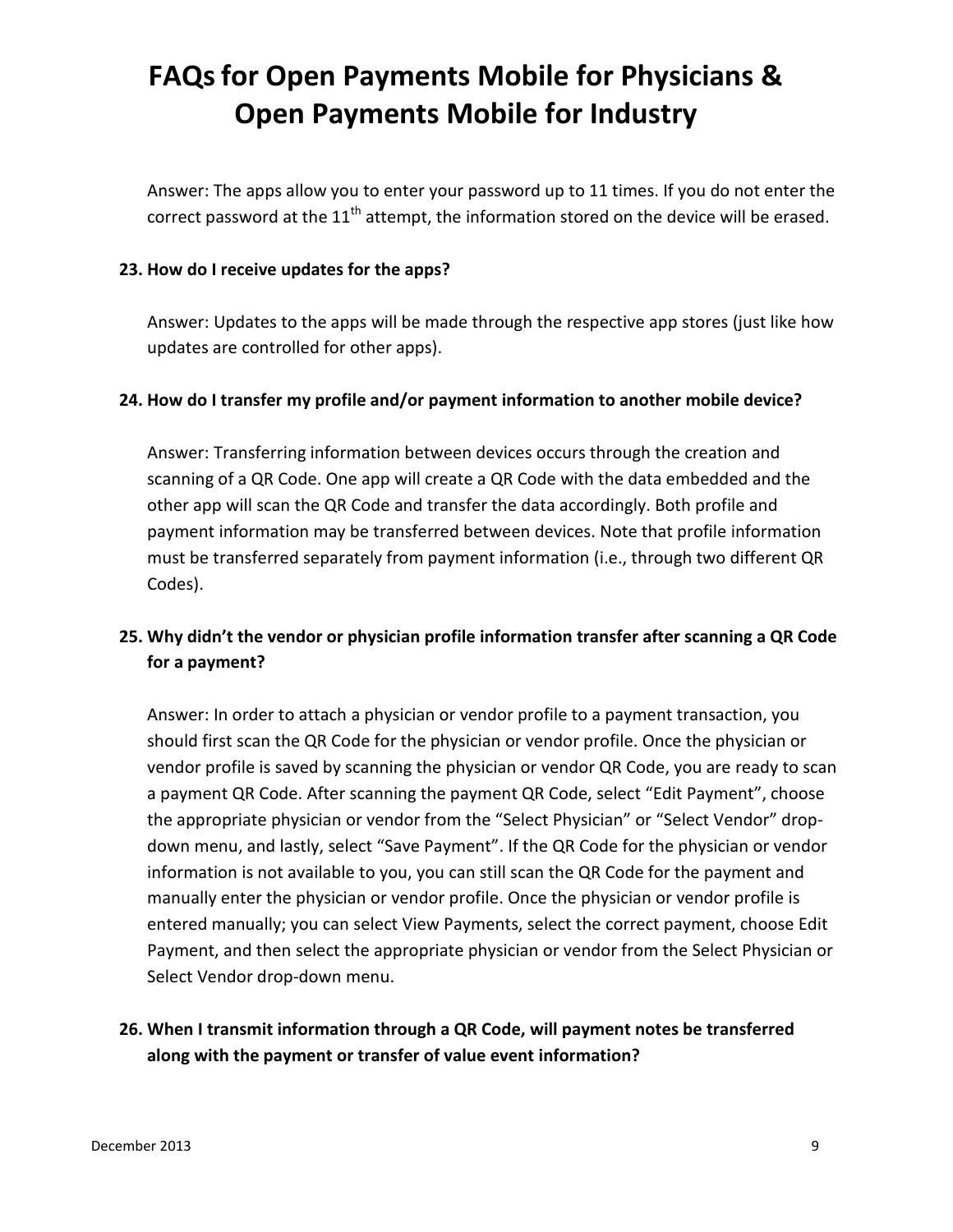Answer: The apps allow you to enter your password up to 11 times. If you do not enter the correct password at the  $11<sup>th</sup>$  attempt, the information stored on the device will be erased.

#### **23. How do I receive updates for the apps?**

Answer: Updates to the apps will be made through the respective app stores (just like how updates are controlled for other apps).

#### **24. How do I transfer my profile and/or payment information to another mobile device?**

Answer: Transferring information between devices occurs through the creation and scanning of a QR Code. One app will create a QR Code with the data embedded and the other app will scan the QR Code and transfer the data accordingly. Both profile and payment information may be transferred between devices. Note that profile information must be transferred separately from payment information (i.e., through two different QR Codes).

## **25. Why didn't the vendor or physician profile information transfer after scanning a QR Code for a payment?**

Answer: In order to attach a physician or vendor profile to a payment transaction, you should first scan the QR Code for the physician or vendor profile. Once the physician or vendor profile is saved by scanning the physician or vendor QR Code, you are ready to scan a payment QR Code. After scanning the payment QR Code, select "Edit Payment", choose the appropriate physician or vendor from the "Select Physician" or "Select Vendor" dropdown menu, and lastly, select "Save Payment". If the QR Code for the physician or vendor information is not available to you, you can still scan the QR Code for the payment and manually enter the physician or vendor profile. Once the physician or vendor profile is entered manually; you can select View Payments, select the correct payment, choose Edit Payment, and then select the appropriate physician or vendor from the Select Physician or Select Vendor drop-down menu.

## **26. When I transmit information through a QR Code, will payment notes be transferred along with the payment or transfer of value event information?**